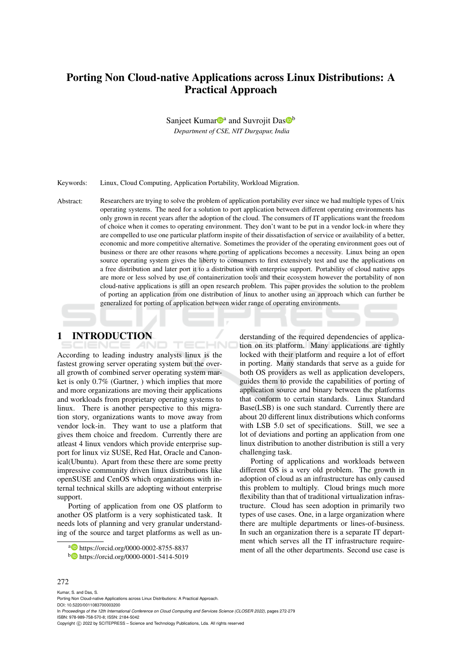# Porting Non Cloud-native Applications across Linux Distributions: A Practical Approach

Sanjeet Kumar<sup>n</sup><sup>a</sup> and Suvrojit Das<sup>n</sup>

*Department of CSE, NIT Durgapur, India*

Keywords: Linux, Cloud Computing, Application Portability, Workload Migration.

Abstract: Researchers are trying to solve the problem of application portability ever since we had multiple types of Unix operating systems. The need for a solution to port application between different operating environments has only grown in recent years after the adoption of the cloud. The consumers of IT applications want the freedom of choice when it comes to operating environment. They don't want to be put in a vendor lock-in where they are compelled to use one particular platform inspite of their dissatisfaction of service or availability of a better, economic and more competitive alternative. Sometimes the provider of the operating environment goes out of business or there are other reasons where porting of applications becomes a necessity. Linux being an open source operating system gives the liberty to consumers to first extensively test and use the applications on a free distribution and later port it to a distribution with enterprise support. Portability of cloud native apps are more or less solved by use of containerization tools and their ecosystem however the portability of non cloud-native applications is still an open research problem. This paper provides the solution to the problem of porting an application from one distribution of linux to another using an approach which can further be generalized for porting of application between wider range of operating environments.

ECHNO

1 INTRODUCTION

According to leading industry analysts linux is the fastest growing server operating system but the overall growth of combined server operating system market is only 0.7% (Gartner, ) which implies that more and more organizations are moving their applications and workloads from proprietary operating systems to linux. There is another perspective to this migration story, organizations wants to move away from vendor lock-in. They want to use a platform that gives them choice and freedom. Currently there are atleast 4 linux vendors which provide enterprise support for linux viz SUSE, Red Hat, Oracle and Canonical(Ubuntu). Apart from these there are some pretty impressive community driven linux distributions like openSUSE and CenOS which organizations with internal technical skills are adopting without enterprise support.

Porting of application from one OS platform to another OS platform is a very sophisticated task. It needs lots of planning and very granular understanding of the source and target platforms as well as un-

a https://orcid.org/0000-0002-8755-8837

derstanding of the required dependencies of application on its platform. Many applications are tightly locked with their platform and require a lot of effort in porting. Many standards that serve as a guide for both OS providers as well as application developers, guides them to provide the capabilities of porting of application source and binary between the platforms that conform to certain standards. Linux Standard Base(LSB) is one such standard. Currently there are about 20 different linux distributions which conforms with LSB 5.0 set of specifications. Still, we see a lot of deviations and porting an application from one linux distribution to another distribution is still a very challenging task.

Porting of applications and workloads between different OS is a very old problem. The growth in adoption of cloud as an infrastructure has only caused this problem to multiply. Cloud brings much more flexibility than that of traditional virtualization infrastructure. Cloud has seen adoption in primarily two types of use cases. One, in a large organization where there are multiple departments or lines-of-business. In such an organization there is a separate IT department which serves all the IT infrastructure requirement of all the other departments. Second use case is

#### 272

Kumar, S. and Das, S. Porting Non Cloud-native Applications across Linux Distributions: A Practical Approach. DOI: 10.5220/0011083700003200 In *Proceedings of the 12th International Conference on Cloud Computing and Services Science (CLOSER 2022)*, pages 272-279 ISBN: 978-989-758-570-8; ISSN: 2184-5042 Copyright (C) 2022 by SCITEPRESS - Science and Technology Publications, Lda. All rights reserved

<sup>b</sup> https://orcid.org/0000-0001-5414-5019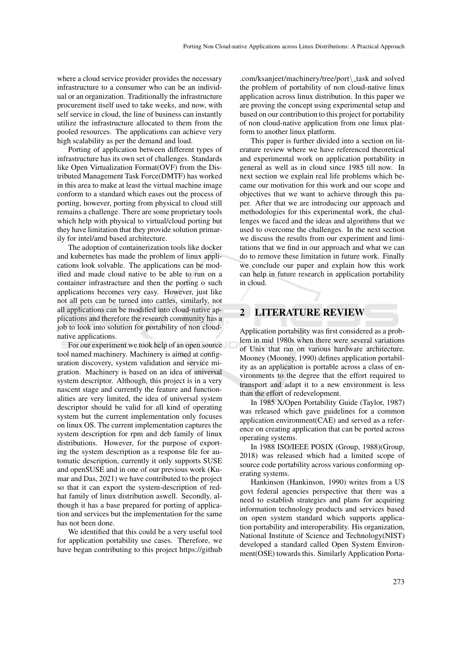where a cloud service provider provides the necessary infrastructure to a consumer who can be an individual or an organization. Traditionally the infrastructure procurement itself used to take weeks, and now, with self service in cloud, the line of business can instantly utilize the infrastructure allocated to them from the pooled resources. The applications can achieve very high scalability as per the demand and load.

Porting of application between different types of infrastructure has its own set of challenges. Standards like Open Virtualization Format (OVF) from the Distributed Management Task Force(DMTF) has worked in this area to make at least the virtual machine image conform to a standard which eases out the process of porting, however, porting from physical to cloud still remains a challenge. There are some proprietary tools which help with physical to virtual/cloud porting but they have limitation that they provide solution primarily for intel/amd based architecture.

The adoption of containerization tools like docker and kubernetes has made the problem of linux applications look solvable. The applications can be modified and made cloud native to be able to run on a container infrastracture and then the porting o such applications becomes very easy. However, just like not all pets can be turned into cattles, similarly, not all applications can be modified into cloud-native applications and therefore the research community has a job to look into solution for portability of non cloudnative applications.

For our experiment we took help of an open source tool named machinery. Machinery is aimed at configuration discovery, system validation and service migration. Machinery is based on an idea of universal system descriptor. Although, this project is in a very nascent stage and currently the feature and functionalities are very limited, the idea of universal system descriptor should be valid for all kind of operating system but the current implementation only focuses on linux OS. The current implementation captures the system description for rpm and deb family of linux distributions. However, for the purpose of exporting the system description as a response file for automatic description, currently it only supports SUSE and openSUSE and in one of our previous work (Kumar and Das, 2021) we have contributed to the project so that it can export the system-description of redhat family of linux distribution aswell. Secondly, although it has a base prepared for porting of application and services but the implementation for the same has not been done.

We identified that this could be a very useful tool for application portability use cases. Therefore, we have began contributing to this project https://github

.com/ksanjeet/machinery/tree/port\\_task and solved the problem of portability of non cloud-native linux application across linux distribution. In this paper we are proving the concept using experimental setup and based on our contribution to this project for portability of non cloud-native application from one linux platform to another linux platform.

This paper is further divided into a section on literature review where we have referenced theoretical and experimental work on application portability in general as well as in cloud since 1985 till now. In next section we explain real life problems which became our motivation for this work and our scope and objectives that we want to achieve through this paper. After that we are introducing our approach and methodologies for this experimental work, the challenges we faced and the ideas and algorithms that we used to overcome the challenges. In the next section we discuss the results from our experiment and limitations that we find in our approach and what we can do to remove these limitation in future work. Finally we conclude our paper and explain how this work can help in future research in application portability in cloud.

## 2 LITERATURE REVIEW

Application portability was first considered as a problem in mid 1980s when there were several variations of Unix that ran on various hardware architecture. Mooney (Mooney, 1990) defines application portability as an application is portable across a class of environments to the degree that the effort required to transport and adapt it to a new environment is less than the effort of redevelopment.

In 1985 X/Open Portability Guide (Taylor, 1987) was released which gave guidelines for a common application environment(CAE) and served as a reference on creating application that can be ported across operating systems.

In 1988 ISO/IEEE POSIX (Group, 1988)(Group, 2018) was released which had a limited scope of source code portability across various conforming operating systems.

Hankinson (Hankinson, 1990) writes from a US govt federal agencies perspective that there was a need to establish strategies and plans for acquiring information technology products and services based on open system standard which supports application portability and interoperability. His organization, National Institute of Science and Technology(NIST) developed a standard called Open System Environment(OSE) towards this. Similarly Application Porta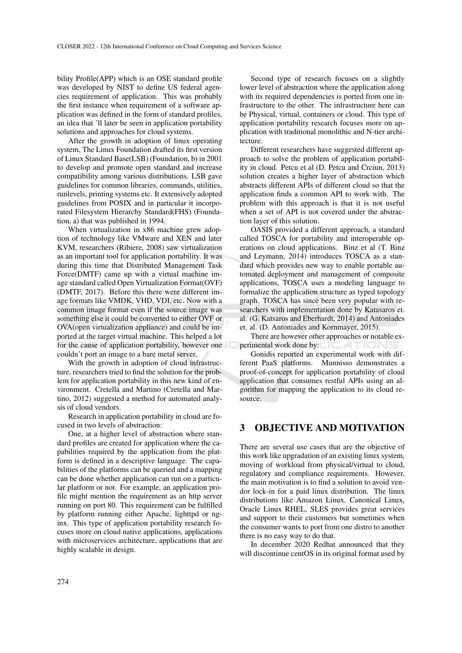bility Profile(APP) which is an OSE standard profile was developed by NIST to define US federal agencies requirement of application. This was probably the first instance when requirement of a software application was defined in the form of standard profiles, an idea that 'll later be seen in application portability solutions and approaches for cloud systems.

After the growth in adoption of linux operating system, The Linux Foundation drafted its first version of Linux Standard Base(LSB) (Foundation, b) in 2001 to develop and promote open standard and increase compatibility among various distributions. LSB gave guidelines for common libraries, commands, utilities, runlevels, printing systems etc. It extensively adopted guidelines from POSIX and in particular it incorporated Filesystem Hierarchy Standard(FHS) (Foundation, a) that was published in 1994.

When virtualization in x86 machine grew adoption of technology like VMware and XEN and later KVM, researchers (Ribiere, 2008) saw virtualization as an important tool for application portability. It was during this time that Distributed Management Task Force(DMTF) came up with a virtual machine image standard called Open Virtualization Format(OVF) (DMTF, 2017). Before this there were different image formats like VMDK, VHD, VDI, etc. Now with a common image format even if the source image was something else it could be converted to either OVF or OVA(open virtualization appliance) and could be imported at the target virtual machine. This helped a lot for the cause of application portability, however one couldn't port an image to a bare metal server,

With the growth in adoption of cloud infrastructure, researchers tried to find the solution for the problem for application portability in this new kind of environment. Cretella and Martino (Cretella and Martino, 2012) suggested a method for automated analysis of cloud vendors.

Research in application portability in cloud are focused in two levels of abstraction:

One, at a higher level of abstraction where standard profiles are created for application where the capabilities required by the application from the platform is defined in a descriptive language. The capabilities of the platforms can be queried and a mapping can be done whether application can run on a particular platform or not. For example, an application profile might mention the requirement as an http server running on port 80. This requirement can be fulfilled by platform running either Apache, lighttpd or nginx. This type of application portability research focuses more on cloud native applications, applications with microservices architecture, applications that are highly scalable in design.

Second type of research focuses on a slightly lower level of abstraction where the application along with its required dependencies is ported from one infrastructure to the other. The infrastructure here can be Physical, virtual, containers or cloud. This type of application portability research focuses more on application with traditional monolithic and N-tier architecture.

Different researchers have suggested different approach to solve the problem of application portability in cloud. Petcu et al (D. Petcu and Crciun, 2013) solution creates a higher layer of abstraction which abstracts different APIs of different cloud so that the application finds a common API to work with. The problem with this approach is that it is not useful when a set of API is not covered under the abstraction layer of this solution.

OASIS provided a different approach, a standard called TOSCA for portability and interoperable operations on cloud applications. Binz et al (T. Binz and Leymann, 2014) introduces TOSCA as a standard which provides new way to enable portable automated deployment and management of composite applications, TOSCA uses a modeling language to formalize the application structure as typed topology graph. TOSCA has since been very popular with researchers with implementation done by Katasaros et. al. (G. Katsaros and Eberhardt, 2014) and Antoniades et. al. (D. Antoniades and Kornmayer, 2015).

There are however other approaches or notable experimental work done by:  $\Box$ 

Gonidis reported an experimental work with different PaaS platforms. Munnisso demonstrates a proof-of-concept for application portability of cloud application that consumes restful APIs using an algorithm for mapping the application to its cloud resource.

## 3 OBJECTIVE AND MOTIVATION

There are several use cases that are the objective of this work like upgradation of an existing linux system, moving of workload from physical/virtual to cloud, regulatory and compliance requirements. However, the main motivation is to find a solution to avoid vendor lock-in for a paid linux distribution. The linux distributions like Amazon Linux, Canonical Linux, Oracle Linux RHEL, SLES provides great services and support to their customers but sometimes when the consumer wants to port from one distro to another there is no easy way to do that.

In december 2020 Redhat announced that they will discontinue centOS in its original format used by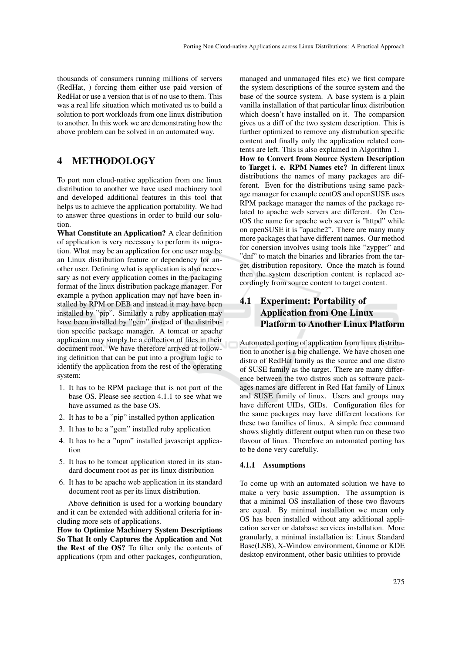thousands of consumers running millions of servers (RedHat, ) forcing them either use paid version of RedHat or use a version that is of no use to them. This was a real life situation which motivated us to build a solution to port workloads from one linux distribution to another. In this work we are demonstrating how the above problem can be solved in an automated way.

## 4 METHODOLOGY

To port non cloud-native application from one linux distribution to another we have used machinery tool and developed additional features in this tool that helps us to achieve the application portability. We had to answer three questions in order to build our solution.

What Constitute an Application? A clear definition of application is very necessary to perform its migration. What may be an application for one user may be an Linux distribution feature or dependency for another user. Defining what is application is also necessary as not every application comes in the packaging format of the linux distribution package manager. For example a python application may not have been installed by RPM or DEB and instead it may have been installed by "pip". Similarly a ruby application may have been installed by "gem" instead of the distribution specific package manager. A tomcat or apache applicaion may simply be a collection of files in their document root. We have therefore arrived at following definition that can be put into a program logic to identify the application from the rest of the operating system:

- 1. It has to be RPM package that is not part of the base OS. Please see section 4.1.1 to see what we have assumed as the base OS.
- 2. It has to be a "pip" installed python application
- 3. It has to be a "gem" installed ruby application
- 4. It has to be a "npm" installed javascript application
- 5. It has to be tomcat application stored in its standard document root as per its linux distribution
- 6. It has to be apache web application in its standard document root as per its linux distribution.

Above definition is used for a working boundary and it can be extended with additional criteria for including more sets of applications.

How to Optimize Machinery System Descriptions So That It only Captures the Application and Not the Rest of the OS? To filter only the contents of applications (rpm and other packages, configuration,

managed and unmanaged files etc) we first compare the system descriptions of the source system and the base of the source system. A base system is a plain vanilla installation of that particular linux distribution which doesn't have installed on it. The comparsion gives us a diff of the two system description. This is further optimized to remove any distrubution specific content and finally only the application related contents are left. This is also explained in Algorithm 1. How to Convert from Source System Description to Target i. e. RPM Names etc? In different linux distributions the names of many packages are different. Even for the distributions using same package manager for example centOS and openSUSE uses RPM package manager the names of the package related to apache web servers are different. On CentOS the name for apache web server is "httpd" while on openSUSE it is "apache2". There are many many more packages that have different names. Our method for conersion involves using tools like "zypper" and "dnf" to match the binaries and libraries from the target distribution repository. Once the match is found then the system description content is replaced accordingly from source content to target content.

## 4.1 Experiment: Portability of Application from One Linux Platform to Another Linux Platform

Automated porting of application from linux distribution to another is a big challenge. We have chosen one distro of RedHat family as the source and one distro of SUSE family as the target. There are many difference between the two distros such as software packages names are different in Red Hat family of Linux and SUSE family of linux. Users and groups may have different UIDs, GIDs. Configuration files for the same packages may have different locations for these two families of linux. A simple free command shows slightly different output when run on these two flavour of linux. Therefore an automated porting has to be done very carefully.

### 4.1.1 Assumptions

To come up with an automated solution we have to make a very basic assumption. The assumption is that a minimal OS installation of these two flavours are equal. By minimal installation we mean only OS has been installed without any additional application server or database services installation. More granularly, a minimal installation is: Linux Standard Base(LSB), X-Window environment, Gnome or KDE desktop environment, other basic utilities to provide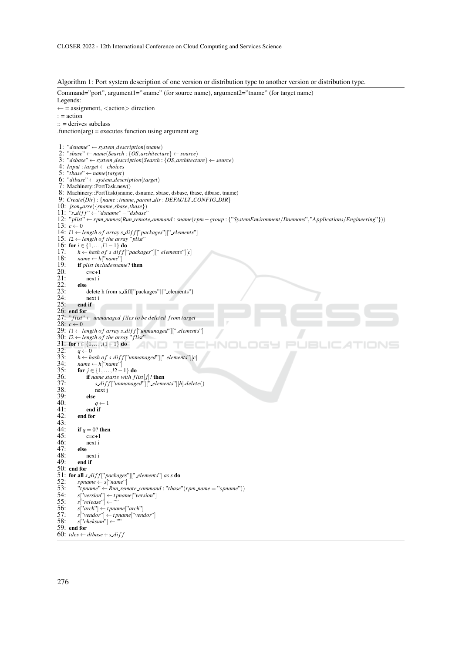Algorithm 1: Port system description of one version or distribution type to another version or distribution type. Command="port", argument1="sname" (for source name), argument2="tname" (for target name) Legends:  $\leftarrow$  = assignment, <action> direction : = action :: = derives subclass .function(arg) = executes function using argument arg 1: "*dsname*" ← *system description*(*sname*) 2: "*sbase*" ← *name*(*Search* : {*OS*,*architecture*} ← *source*) 3: "*dsbase*" ← *system description*(*Search* : {*OS*,*architecture*} ← *source*) 4: *Input* : *target* ← *choices* 5: "*tbase*" ← *name*(*target*) 6: "*dtbase*" ← *system description*(*target*) 7: Machinery::PortTask.new() 8: Machinery::PortTask(sname, dsname, sbase, dsbase, tbase, dtbase, tname) 9: *Create*(*Dir*) : {*name* : *tname*, *parent dir* : *DEFAULT CONF IG DIR*} 10: *jsonparse*({*sname*,*sbase*,*tbase*}) 11: "*s di f f* " ← "*dsname*"−"*dsbase*" 12: "*plist*" ← *rpm names*(*Run remotecommand* : *sname*(*rpm*−*group* : {"*SystemEnvironment*/*Daemons*","*Applications*/*Engineering*"})) 13:  $c \leftarrow 0$ 14:  $11 \leftarrow length of array s\_diff['packages'']['. elements']$ 15:  $l2 \leftarrow length of the array "plist"$ 16: for  $i \in \{1, ..., l1-1\}$  do<br>17:  $h \leftarrow$  hash of s diff<sup>['</sup> 17:  $h \leftarrow$  *hash of s\_diff* ["*packages*"]["\_*elements*"][*c*]<br>18:  $name \leftarrow h[^{"name"}$ 18:  $name \leftarrow h["name"]$ <br>19: **if** plist includes nan 19: **if** *plist includesname*? **then**<br>20: **c=c+1** 20:  $c=c+1$ <br>21:  $next i$ next i<br>else  $\frac{22}{23}$ : 24: delete h from s\_diff["packages"]["\_elements"] 24: next i<br>25: **end if** end if 26: end for<br>27:  $"flist"$ 27: " *f list*" ← *unmanaged files to be deleted f rom target* 28:  $c$  ← 0 29:  $l1 \leftarrow$  *length of array s\_diff* ["*unmanaged*"]["\_elements"] 30:  $l2 \leftarrow length of the array "first"$ 31: for  $i \in \{1, ..., l1-1\}$  do<br>32:  $a \leftarrow 0$ **INI** 32:  $q \leftarrow 0$ <br>33:  $h \leftarrow h$ 33:  $\hat{h} \leftarrow$  *hash of s*  $diff$  ["*unmanaged*"] ["*elements*"] [*c*]<br>34:  $name \leftarrow h$  ["*name*"] 34: *name* ← *h*["*name*"] 35: for *j* ∈ {1,...,*l*2−1} do 36: if *name starts\_with flist*[*j*]? then<br>37:  $s\_diff$ ["unmanaged"]["\_elements 37: *s di f f* ["*unmanaged*"][" *elements*"][*h*].*delete*() next j<br>else  $\frac{39}{40}$ : 40:  $q \leftarrow 1$ <br>41: **end if**  $41:$  end if<br> $42:$  end for 42: end for  $\frac{43}{44}$ : 44: if  $q = 0$ ? then<br>45:  $c=c+1$ 45:  $c=c+1$ <br>46:  $next i$ next i  $\frac{47}{48}$ : 48: next i<br>49: **end if** end if 50: end for 51: for all  $s$  *diff* ["*packages*"][" *elements*"] *as s* do 52: spname  $\leftarrow s$  ["*name*"] 52:  $spanme \leftarrow s['name']$ <br>53:  $"tpname" \leftarrow Run\_ren$ <br>54:  $s['version'] \leftarrow tpnan$ 53: "*t pname*" ← *Run remote command* : "*tbase*"(*rpm name* = "*spname*")) 54: *s*["*version*"] ← *t pname*["*version*"] 55: *s*["*release*"] ← "" 56: *s*["*arch*"] ← *t pname*["*arch*"] 57: *s*["*vendor*"] ← *t pname*["*vendor*"] 58: *s*["*cheksum*"] ← "" 59: end for 60:  $t$ *des*  $\leftarrow$  *dtbase* + *s diff*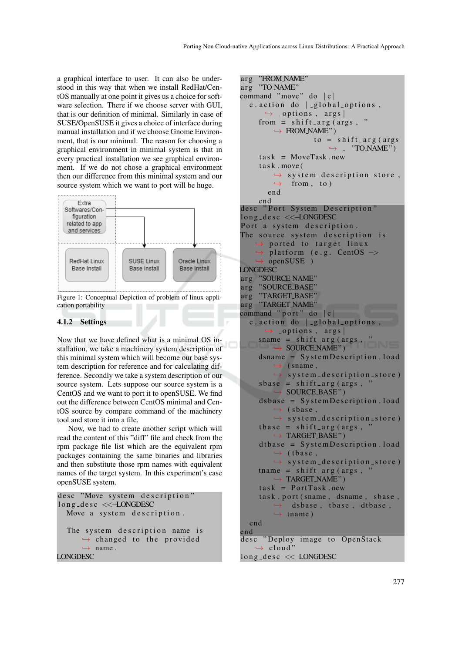a graphical interface to user. It can also be understood in this way that when we install RedHat/CentOS manually at one point it gives us a choice for software selection. There if we choose server with GUI, that is our definition of minimal. Similarly in case of SUSE/OpenSUSE it gives a choice of interface during manual installation and if we choose Gnome Environment, that is our minimal. The reason for choosing a graphical environment in minimal system is that in every practical installation we see graphical environment. If we do not chose a graphical environment then our difference from this minimal system and our source system which we want to port will be huge.



Figure 1: Conceptual Depiction of problem of linux application portability

### 4.1.2 Settings

Now that we have defined what is a minimal OS installation, we take a machinery system description of this minimal system which will become our base system description for reference and for calculating difference. Secondly we take a system description of our source system. Lets suppose our source system is a CentOS and we want to port it to openSUSE. We find out the difference between CentOS minimal and CentOS source by compare command of the machinery tool and store it into a file.

Now, we had to create another script which will read the content of this "diff" file and check from the rpm package file list which are the equivalent rpm packages containing the same binaries and libraries and then substitute those rpm names with equivalent names of the target system. In this experiment's case openSUSE system.

```
desc "Move system description"
l o n g _d e s c <<<<<<<<<<>>LONGDESC
  Move a system description.
  The system description name is
       \leftrightarrow changed to the provided
       \leftrightarrow name.
LONGDESC
```

```
arg "FROM NAME"
arg "TO_NAME"
command "move" do |c|c. action do \vert -global options,
      \leftrightarrow _options, args |
     from = shift_arg(args, "
         \hookrightarrow FROM NAME")
                    to = shift_arg (args)\leftrightarrow, "TO NAME")
     task = MoveTask.newtask.move(
         \rightarrow system_description_store,
         \leftrightarrow from, to)
       end
     end
desc "Port System Description"
long_desc <<-LONGDESC
Port a system description.
The source system description is
     \rightarrow ported to target linux
    \rightarrow platform (e.g. CentOS \rightarrowopenSUSE )
LONGDESC
arg "SOURCE NAME"
arg "SOURCE BASE"
arg "TARGET_BASE"
arg "TARGET NAME"
command "port" do |c|c. action do | _global_options,
      \leftrightarrow _options, args |
     sname = shift_arg(args, "→ SOURCE NAME")
     dsname = System Description. load
         \leftrightarrow (sname,
         \rightarrow system_description_store)
     s base = shift_{arg} (args,\rightarrow SOURCE BASE")
     ds base = SystemDescription. load
         \leftrightarrow (sbase,
         \rightarrow system d escription store)
     t base = shift_{arg} (args,\rightarrow TARGET BASE")
     dtbase = System Description . load
         \leftrightarrow (tbase,
         \rightarrow system_description_store)
     tname = shift_args, '
         \rightarrow TARGET NAME")
     task = PortTask.newtask.port (sname, dsname, sbase,
         \leftrightarrow dsbase, tbase, dtbase,
         \leftrightarrow tname)
  end
end
desc "Deploy image to OpenStack
    \rightarrow cloud'
long_desc <<-LONGDESC
```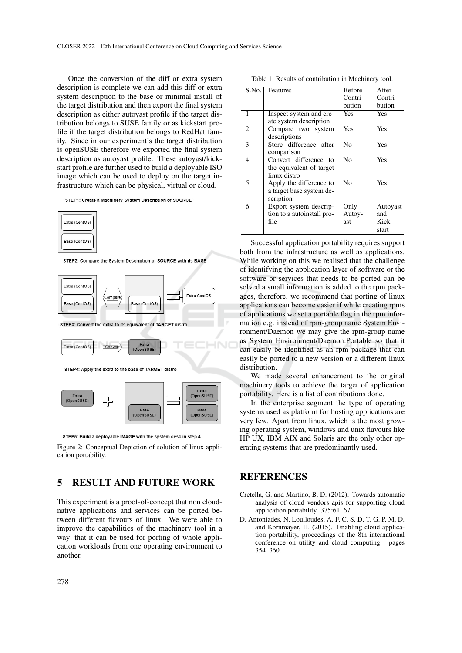Once the conversion of the diff or extra system description is complete we can add this diff or extra system description to the base or minimal install of the target distribution and then export the final system description as either autoyast profile if the target distribution belongs to SUSE family or as kickstart profile if the target distribution belongs to RedHat family. Since in our experiment's the target distribution is openSUSE therefore we exported the final system description as autoyast profile. These autoyast/kickstart profile are further used to build a deployable ISO image which can be used to deploy on the target infrastructure which can be physical, virtual or cloud.

STEP1: Create a Machinery System Description of SOURCE



STEP2: Compare the System Description of SOURCE with its BASE



STEP3: Convert the extra to its equivalent of TARGET distro



STEP4: Apply the extra to the base of TARGET distro



STEP5: Build a deployable IMAGE with the system desc in step 4

Figure 2: Conceptual Depiction of solution of linux application portability.

## 5 RESULT AND FUTURE WORK

This experiment is a proof-of-concept that non cloudnative applications and services can be ported between different flavours of linux. We were able to improve the capabilities of the machinery tool in a way that it can be used for porting of whole application workloads from one operating environment to another.

| Table 1: Results of contribution in Machinery tool. |  |  |  |  |  |
|-----------------------------------------------------|--|--|--|--|--|
|-----------------------------------------------------|--|--|--|--|--|

| S.No. | Features                   | <b>Before</b> | After    |
|-------|----------------------------|---------------|----------|
|       |                            | Contri-       | Contri-  |
|       |                            | bution        | bution   |
| 1     | Inspect system and cre-    | <b>Yes</b>    | Yes      |
|       | ate system description     |               |          |
| 2     | Compare two system         | Yes           | Yes      |
|       | descriptions               |               |          |
| 3     | Store difference after     | No            | Yes      |
|       | comparison                 |               |          |
| 4     | Convert difference to      | No            | Yes      |
|       | the equivalent of target   |               |          |
|       | linux distro               |               |          |
| 5     | Apply the difference to    | No            | Yes      |
|       | a target base system de-   |               |          |
|       | scription                  |               |          |
| 6     | Export system descrip-     | Only          | Autoyast |
|       | tion to a autoinstall pro- | Autoy-        | and      |
|       | file                       | ast           | Kick-    |
|       |                            |               | start    |
|       |                            |               |          |

Successful application portability requires support both from the infrastructure as well as applications. While working on this we realised that the challenge of identifying the application layer of software or the software or services that needs to be ported can be solved a small information is added to the rpm packages, therefore, we recommend that porting of linux applications can become easier if while creating rpms of applications we set a portable flag in the rpm information e.g. instead of rpm-group name System Environment/Daemon we may give the rpm-group name as System Environment/Daemon:Portable so that it can easily be identified as an rpm package that can easily be ported to a new version or a different linux distribution.

We made several enhancement to the original machinery tools to achieve the target of application portability. Here is a list of contributions done.

In the enterprise segment the type of operating systems used as platform for hosting applications are very few. Apart from linux, which is the most growing operating system, windows and unix flavours like HP UX, IBM AIX and Solaris are the only other operating systems that are predominantly used.

### **REFERENCES**

- Cretella, G. and Martino, B. D. (2012). Towards automatic analysis of cloud vendors apis for supporting cloud application portability. 375:61–67.
- D. Antoniades, N. Loulloudes, A. F. C. S. D. T. G. P. M. D. and Kornmayer, H. (2015). Enabling cloud application portability, proceedings of the 8th international conference on utility and cloud computing. pages 354–360.